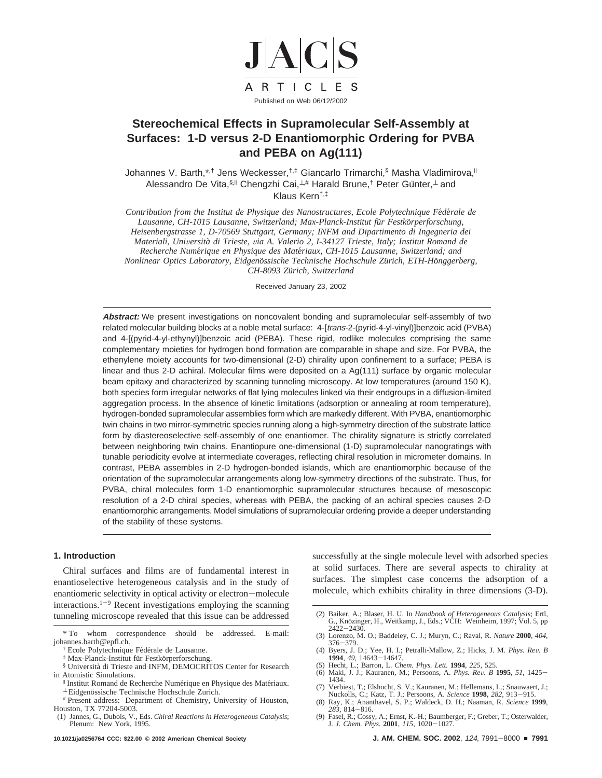

# **Stereochemical Effects in Supramolecular Self-Assembly at Surfaces: 1-D versus 2-D Enantiomorphic Ordering for PVBA and PEBA on Ag(111)**

Johannes V. Barth,\*,<sup>†</sup> Jens Weckesser,<sup>†,‡</sup> Giancarlo Trimarchi,§ Masha Vladimirova,<sup>||</sup> Alessandro De Vita, §,<sup>||</sup> Chengzhi Cai, ⊥,# Harald Brune,<sup>†</sup> Peter Günter, ⊥and Klaus Kern†,‡

*Contribution from the Institut de Physique des Nanostructures, Ecole Polytechnique Fe*´*de*´*rale de Lausanne, CH-1015 Lausanne, Switzerland; Max-Planck-Institut fu*¨*r Festko*¨*rperforschung, Heisenbergstrasse 1, D-70569 Stuttgart, Germany; INFM and Dipartimento di Ingegneria dei Materiali, Uni*V*ersita*` *di Trieste,* V*ia A. Valerio 2, I-34127 Trieste, Italy; Institut Romand de Recherche Nume*´*rique en Physique des Mate*´*riaux, CH-1015 Lausanne, Switzerland; and Nonlinear Optics Laboratory, Eidgeno*¨*ssische Technische Hochschule Zu*¨*rich, ETH-Ho*¨*nggerberg, CH-8093 Zu*¨*rich, Switzerland*

Received January 23, 2002

**Abstract:** We present investigations on noncovalent bonding and supramolecular self-assembly of two related molecular building blocks at a noble metal surface: 4-[trans-2-(pyrid-4-yl-vinyl)]benzoic acid (PVBA) and 4-[(pyrid-4-yl-ethynyl)]benzoic acid (PEBA). These rigid, rodlike molecules comprising the same complementary moieties for hydrogen bond formation are comparable in shape and size. For PVBA, the ethenylene moiety accounts for two-dimensional (2-D) chirality upon confinement to a surface; PEBA is linear and thus 2-D achiral. Molecular films were deposited on a Ag(111) surface by organic molecular beam epitaxy and characterized by scanning tunneling microscopy. At low temperatures (around 150 K), both species form irregular networks of flat lying molecules linked via their endgroups in a diffusion-limited aggregation process. In the absence of kinetic limitations (adsorption or annealing at room temperature), hydrogen-bonded supramolecular assemblies form which are markedly different. With PVBA, enantiomorphic twin chains in two mirror-symmetric species running along a high-symmetry direction of the substrate lattice form by diastereoselective self-assembly of one enantiomer. The chirality signature is strictly correlated between neighboring twin chains. Enantiopure one-dimensional (1-D) supramolecular nanogratings with tunable periodicity evolve at intermediate coverages, reflecting chiral resolution in micrometer domains. In contrast, PEBA assembles in 2-D hydrogen-bonded islands, which are enantiomorphic because of the orientation of the supramolecular arrangements along low-symmetry directions of the substrate. Thus, for PVBA, chiral molecules form 1-D enantiomorphic supramolecular structures because of mesoscopic resolution of a 2-D chiral species, whereas with PEBA, the packing of an achiral species causes 2-D enantiomorphic arrangements. Model simulations of supramolecular ordering provide a deeper understanding of the stability of these systems.

# **1. Introduction**

Chiral surfaces and films are of fundamental interest in enantioselective heterogeneous catalysis and in the study of enantiomeric selectivity in optical activity or electron-molecule interactions.<sup>1-9</sup> Recent investigations employing the scanning tunneling microscope revealed that this issue can be addressed

Ecole Polytechnique Fédérale de Lausanne.

- § Universita` di Trieste and INFM, DEMOCRITOS Center for Research
- in Atomistic Simulations. <sup>|</sup> Institut Romand de Recherche Nume´rique en Physique des Mate´riaux. <sup>⊥</sup> Eidgeno¨ssische Technische Hochschule Zurich. # Present address: Department of Chemistry, University of Houston,
- Houston, TX 77204-5003.

successfully at the single molecule level with adsorbed species at solid surfaces. There are several aspects to chirality at surfaces. The simplest case concerns the adsorption of a molecule, which exhibits chirality in three dimensions (3-D).

- (2) Baiker, A.; Blaser, H. U. In *Handbook of Heterogeneous Catalysis*; Ertl, G., Knözinger, H., Weitkamp, J., Eds.; VCH: Weinheim, 1997; Vol. 5, pp
- <sup>2422</sup>-2430. (3) Lorenzo, M. O.; Baddeley, C. J.; Muryn, C.; Raval, R. *Nature* **2000**, *404*,
- <sup>376</sup>-379. (4) Byers, J. D.; Yee, H. I.; Petralli-Mallow, Z.; Hicks, J. M. *Phys. Re*V*. B*
- 
- **<sup>1994</sup>**, *<sup>49</sup>*, 14643-14647. (5) Hecht, L.; Barron, L. *Chem. Phys. Lett.* **1994**, *225*, 525. (6) Maki, J. J.; Kauranen, M.; Persoons, A. *Phys. Re*V*. B* **<sup>1995</sup>**, *<sup>51</sup>*, 1425- 1434.
- (7) Verbiest, T.; Elshocht, S. V.; Kauranen, M.; Hellemans, L.; Snauwaert, J.; Nuckolls, C.; Katz, T. J.; Persoons, A. Science 1998, 282, 913–915. Nuckolls, C.; Katz, T. J.; Persoons, A. *Science* **<sup>1998</sup>**, *<sup>282</sup>*, 913-915. (8) Ray, K.; Ananthavel, S. P.; Waldeck, D. H.; Naaman, R. *Science* **1999**,
- *<sup>283</sup>*, 814-816. (9) Fasel, R.; Cossy, A.; Ernst, K.-H.; Baumberger, F.; Greber, T.; Osterwalder,
- J. *J. Chem. Phys.* **<sup>2001</sup>**, *<sup>115</sup>*, 1020-1027.

<sup>\*</sup> To whom correspondence should be addressed. E-mail: johannes.barth@epfl.ch.

<sup>&</sup>lt;sup>‡</sup> Max-Planck-Institut für Festkörperforschung.

<sup>(1)</sup> Jannes, G., Dubois, V., Eds. *Chiral Reactions in Heterogeneous Catalysis*; Plenum: New York, 1995.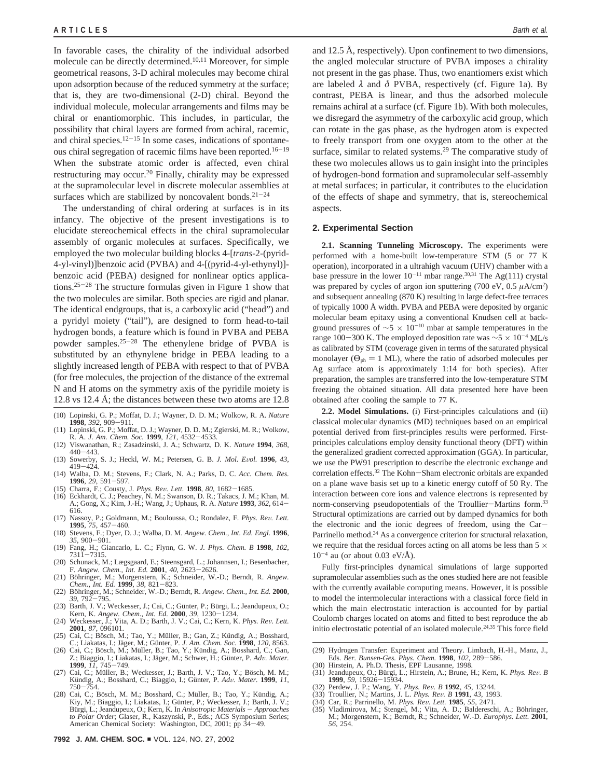In favorable cases, the chirality of the individual adsorbed molecule can be directly determined.<sup>10,11</sup> Moreover, for simple geometrical reasons, 3-D achiral molecules may become chiral upon adsorption because of the reduced symmetry at the surface; that is, they are two-dimensional (2-D) chiral. Beyond the individual molecule, molecular arrangements and films may be chiral or enantiomorphic. This includes, in particular, the possibility that chiral layers are formed from achiral, racemic, and chiral species. $12-15$  In some cases, indications of spontaneous chiral segregation of racemic films have been reported.<sup>16-19</sup> When the substrate atomic order is affected, even chiral restructuring may occur.20 Finally, chirality may be expressed at the supramolecular level in discrete molecular assemblies at surfaces which are stabilized by noncovalent bonds. $21-24$ 

The understanding of chiral ordering at surfaces is in its infancy. The objective of the present investigations is to elucidate stereochemical effects in the chiral supramolecular assembly of organic molecules at surfaces. Specifically, we employed the two molecular building blocks 4-[*trans*-2-(pyrid-4-yl-vinyl)]benzoic acid (PVBA) and 4-[(pyrid-4-yl-ethynyl)] benzoic acid (PEBA) designed for nonlinear optics applications.25-<sup>28</sup> The structure formulas given in Figure 1 show that the two molecules are similar. Both species are rigid and planar. The identical endgroups, that is, a carboxylic acid ("head") and a pyridyl moiety ("tail"), are designed to form head-to-tail hydrogen bonds, a feature which is found in PVBA and PEBA powder samples.25-<sup>28</sup> The ethenylene bridge of PVBA is substituted by an ethynylene bridge in PEBA leading to a slightly increased length of PEBA with respect to that of PVBA (for free molecules, the projection of the distance of the extremal N and H atoms on the symmetry axis of the pyridile moiety is 12.8 vs 12.4 Å; the distances between these two atoms are  $12.8$ 

- (10) Lopinski, G. P.; Moffat, D. J.; Wayner, D. D. M.; Wolkow, R. A. *Nature* **<sup>1998</sup>**, *<sup>392</sup>*, 909-911.
- (11) Lopinski, G. P.; Moffat, D. J.; Wayner, D. D. M.; Zgierski, M. R.; Wolkow, R. A. *J. Am. Chem. Soc.* **<sup>1999</sup>**, *<sup>121</sup>*, 4532-4533.
- (12) Viswanathan, R.; Zasadzinski, J. A.; Schwartz, D. K. *Nature* **1994**, *368*,
- 440–443.<br>
(13) Sowerby, S. J.; Heckl, W. M.; Petersen, G. B. *J. Mol. Evol.* **1996**, *43*, 419–424.<br>
(1419–424. D. M.: Stevens. F.: Clark. N. A.: Parks. D. C. *Acc. Chem. Res.*
- (14) Walba, D. M.; Stevens, F.; Clark, N. A.; Parks, D. C. *Acc. Chem. Res.*
- 
- **1996**, 29, 591–597.<br>
(15) Charra, F.; Cousty, J. *Phys. Rev. Lett.* **1998**, 80, 1682–1685.<br>
(16) Eckhardt, C. J.; Peachey, N. M.; Swanson, D. R.; Takacs, J. M.; Khan, M.<br>
A.; Gong, X.; Kim, J.-H.; Wang, J.; Uphaus, R. A.
- (17) Nassoy, P.; Goldmann, M.; Bouloussa, O.; Rondalez, F. *Phys. Re*V*. Lett.* **<sup>1995</sup>**, *<sup>75</sup>*, 457-460.
- (18) Stevens, F.; Dyer, D. J.; Walba, D. M. *Angew. Chem., Int. Ed. Engl.* **1996**,
- *35*, 900–901.<br>(19) Fang, H.; Giancarlo, L. C.; Flynn, G. W. *J. Phys. Chem. B* **1998**, *102*, 7311-7315.<br>(20) Schunack. M.: Lægsgaard. E.: Steensgard. L.: Johannsen. I.: Besenbacher. (20) Schunack, M.; Lægsgaard, E.; Steensgard, L.; Johannsen, I.; Besenbacher,
- 
- F. *Angew. Chem., Int. Ed.* **2001**, *40*, 2623-2626.<br>(21) Böhringer, M.; Morgenstern, K.; Schneider, W.-D.; Berndt, R. *Angew.*<br>*Chem., Int. Ed.* **1999**, *38*, 821-823.<br>(22) Böhringer. M.: Schneider. W.-D.: Berndt. R. *Ang*
- 
- (22) Böhringer, M.; Schneider, W.-D.; Berndt, R. Angew. Chem., Int. Ed. 2000,  $39, 792-795$ .<br>
(23) Barth, J. V.; Weckesser, J.; Cai, C.; Günter, P.; Bürgi, L.; Jeandupeux, O.; Kern, K. Angew. Chem., Int. Ed. 2000, 39, 123
- **2001**, *87*, 096101.
- (25) Cai, C.; Bösch, M.; Tao, Y.; Müller, B.; Gan, Z.; Kündig, A.; Bosshard, C.; Liakatas, I.; Jäger, M.; Günter, P. *J. Am. Chem. Soc.* **1998**, *120*, 8563. (26) Cai, C.; Bösch, M.; Müller, B.; Tao, Y.; Kündig, A.; Bosshard, C.; Gan,
- Z.; Biaggio, I.; Liakatas, I.; Jäger, M.; Schwer, H.; Günter, P. Adv. Mater. **<sup>1999</sup>**, *<sup>11</sup>*, 745-749.
- (27) Cai, C.; Müller, B.; Weckesser, J.; Barth, J. V.; Tao, Y.; Bösch, M. M.; Kündig, A.; Bosshard, C.; Biaggio, I.; Günter, P. *Adv. Mater.* **1999**, *11*, 750–754.
- (28) Cai, C.; Bösch, M. M.; Bosshard, C.; Müller, B.; Tao, Y.; Kündig, A.; Kiy, M.; Biaggio, I.; Liakatas, I.; Günter, P.; Weckesser, J.; Barth, J. V.; Bürgi, L.; Jeandupeux, O.; Kern, K. In *Anisotropic Materials* - *Approaches to Polar Order*; Glaser, R., Kaszynski, P., Eds.; ACS Symposium Series; American Chemical Society: Washington, DC, 2001; pp 34-49.

and 12.5 Å, respectively). Upon confinement to two dimensions, the angled molecular structure of PVBA imposes a chirality not present in the gas phase. Thus, two enantiomers exist which are labeled *λ* and *δ* PVBA, respectively (cf. Figure 1a). By contrast, PEBA is linear, and thus the adsorbed molecule remains achiral at a surface (cf. Figure 1b). With both molecules, we disregard the asymmetry of the carboxylic acid group, which can rotate in the gas phase, as the hydrogen atom is expected to freely transport from one oxygen atom to the other at the surface, similar to related systems.<sup>29</sup> The comparative study of these two molecules allows us to gain insight into the principles of hydrogen-bond formation and supramolecular self-assembly at metal surfaces; in particular, it contributes to the elucidation of the effects of shape and symmetry, that is, stereochemical aspects.

#### **2. Experimental Section**

**2.1. Scanning Tunneling Microscopy.** The experiments were performed with a home-built low-temperature STM (5 or 77 K operation), incorporated in a ultrahigh vacuum (UHV) chamber with a base pressure in the lower  $10^{-11}$  mbar range.<sup>30,31</sup> The Ag(111) crystal was prepared by cycles of argon ion sputtering (700 eV, 0.5 *µ*A/cm2 ) and subsequent annealing (870 K) resulting in large defect-free terraces of typically 1000 Å width. PVBA and PEBA were deposited by organic molecular beam epitaxy using a conventional Knudsen cell at background pressures of  $\sim$ 5 × 10<sup>-10</sup> mbar at sample temperatures in the range 100-300 K. The employed deposition rate was  $\sim$ 5 × 10<sup>-4</sup> ML/s as calibrated by STM (coverage given in terms of the saturated physical monolayer ( $\Theta_{ph} = 1$  ML), where the ratio of adsorbed molecules per Ag surface atom is approximately 1:14 for both species). After preparation, the samples are transferred into the low-temperature STM freezing the obtained situation. All data presented here have been obtained after cooling the sample to 77 K.

**2.2. Model Simulations.** (i) First-principles calculations and (ii) classical molecular dynamics (MD) techniques based on an empirical potential derived from first-principles results were performed. Firstprinciples calculations employ density functional theory (DFT) within the generalized gradient corrected approximation (GGA). In particular, we use the PW91 prescription to describe the electronic exchange and correlation effects.32 The Kohn-Sham electronic orbitals are expanded on a plane wave basis set up to a kinetic energy cutoff of 50 Ry. The interaction between core ions and valence electrons is represented by norm-conserving pseudopotentials of the Troullier-Martins form.<sup>33</sup> Structural optimizations are carried out by damped dynamics for both the electronic and the ionic degrees of freedom, using the Car-Parrinello method.34 As a convergence criterion for structural relaxation, we require that the residual forces acting on all atoms be less than 5  $\times$  $10^{-4}$  au (or about 0.03 eV/Å).

Fully first-principles dynamical simulations of large supported supramolecular assemblies such as the ones studied here are not feasible with the currently available computing means. However, it is possible to model the intermolecular interactions with a classical force field in which the main electrostatic interaction is accounted for by partial Coulomb charges located on atoms and fitted to best reproduce the ab initio electrostatic potential of an isolated molecule.<sup>24,35</sup> This force field

- (29) Hydrogen Transfer: Experiment and Theory. Limbach, H.-H., Manz, J., Eds. *Ber. Bunsen-Ges. Phys. Chem.* **<sup>1998</sup>**, *<sup>102</sup>*, 289-586.
- (30) Hirstein, A. Ph.D. Thesis, EPF Lausanne, 1998.
- Jeandupeux, O.; Bürgi, L.; Hirstein, A.; Brune, H.; Kern, K. *Phys. Rev. B* **1999**, 59, 15926–15934. **<sup>1999</sup>**, *<sup>59</sup>*, 15926-15934. (32) Perdew, J. P.; Wang, Y. *Phys. Re*V*. B* **<sup>1992</sup>**, *<sup>45</sup>*, 13244.
- 
- (33) Troullier, N.; Martins, J. L. *Phys. Re*V*. B* **<sup>1991</sup>**, *<sup>43</sup>*, 1993.
- (34) Car, R.; Parrinello, M. *Phys. Re*V*. Lett.* **<sup>1985</sup>**, *<sup>55</sup>*, 2471.
- Vladimirova, M.; Stengel, M.; Vita, A. D.; Baldereschi, A.; Böhringer, M.; Morgenstern, K.; Berndt, R.; Schneider, W.-D. *Europhys. Lett.* **2001**, *56*, 254.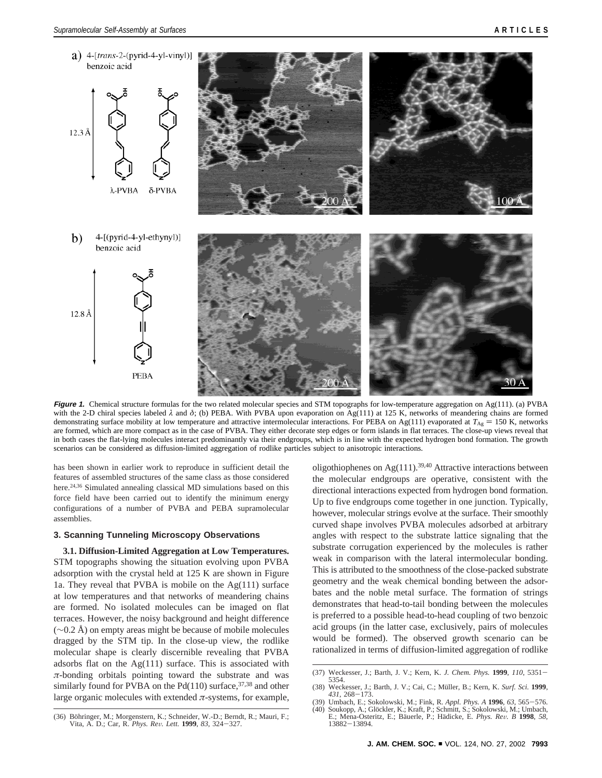

**Figure 1.** Chemical structure formulas for the two related molecular species and STM topographs for low-temperature aggregation on Ag(111). (a) PVBA with the 2-D chiral species labeled *λ* and *δ*; (b) PEBA. With PVBA upon evaporation on Ag(111) at 125 K, networks of meandering chains are formed demonstrating surface mobility at low temperature and attractive intermolecular interactions. For PEBA on Ag(111) evaporated at  $T_{\text{Ag}} = 150$  K, networks are formed, which are more compact as in the case of PVBA. They either decorate step edges or form islands in flat terraces. The close-up views reveal that in both cases the flat-lying molecules interact predominantly via their endgroups, which is in line with the expected hydrogen bond formation. The growth scenarios can be considered as diffusion-limited aggregation of rodlike particles subject to anisotropic interactions.

has been shown in earlier work to reproduce in sufficient detail the features of assembled structures of the same class as those considered here.<sup>24,36</sup> Simulated annealing classical MD simulations based on this force field have been carried out to identify the minimum energy configurations of a number of PVBA and PEBA supramolecular assemblies.

# **3. Scanning Tunneling Microscopy Observations**

**3.1. Diffusion-Limited Aggregation at Low Temperatures.** STM topographs showing the situation evolving upon PVBA adsorption with the crystal held at 125 K are shown in Figure 1a. They reveal that PVBA is mobile on the Ag(111) surface at low temperatures and that networks of meandering chains are formed. No isolated molecules can be imaged on flat terraces. However, the noisy background and height difference (∼0.2 Å) on empty areas might be because of mobile molecules dragged by the STM tip. In the close-up view, the rodlike molecular shape is clearly discernible revealing that PVBA adsorbs flat on the  $Ag(111)$  surface. This is associated with *π*-bonding orbitals pointing toward the substrate and was similarly found for PVBA on the Pd(110) surface,  $37,38$  and other large organic molecules with extended  $\pi$ -systems, for example, oligothiophenes on Ag $(111)$ .<sup>39,40</sup> Attractive interactions between the molecular endgroups are operative, consistent with the directional interactions expected from hydrogen bond formation. Up to five endgroups come together in one junction. Typically, however, molecular strings evolve at the surface. Their smoothly curved shape involves PVBA molecules adsorbed at arbitrary angles with respect to the substrate lattice signaling that the substrate corrugation experienced by the molecules is rather weak in comparison with the lateral intermolecular bonding. This is attributed to the smoothness of the close-packed substrate geometry and the weak chemical bonding between the adsorbates and the noble metal surface. The formation of strings demonstrates that head-to-tail bonding between the molecules is preferred to a possible head-to-head coupling of two benzoic acid groups (in the latter case, exclusively, pairs of molecules would be formed). The observed growth scenario can be rationalized in terms of diffusion-limited aggregation of rodlike

<sup>(37)</sup> Weckesser, J.; Barth, J. V.; Kern, K. *J. Chem. Phys.* **<sup>1999</sup>**, *<sup>110</sup>*, 5351- 5354.

<sup>(38)</sup> Weckesser, J.; Barth, J. V.; Cai, C.; Müller, B.; Kern, K. *Surf. Sci.* **1999**, *431*, 268–173.<br>(39) Umbach, E.; Sokolowski, M.; Fink, R. *Appl. Phys. A* **1996**, *63*, 565–576.<br>(40) Soukopp. A.: Glöckler. K.: Kraft. P

<sup>(40)</sup> Soukopp, A.; Glöckler, K.; Kraft, P.; Schmitt, S.; Sokolowski, M.; Umbach, E.; Mena-Osteritz, E.; Bäuerle, P.; Hädicke, E. *Phys. Rev. B* **1998**, 58, 13882–13894.

<sup>(36)</sup> Böhringer, M.; Morgenstern, K.; Schneider, W.-D.; Berndt, R.; Mauri, F.; Vita, A. D.; Car, R. *Phys. Re*V*. Lett.* **<sup>1999</sup>**, *<sup>83</sup>*, 324-327.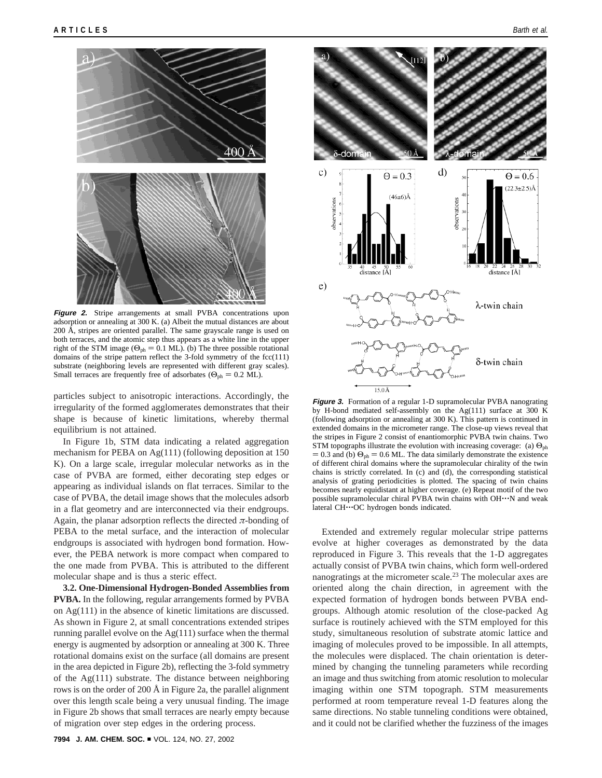

**Figure 2.** Stripe arrangements at small PVBA concentrations upon adsorption or annealing at 300 K. (a) Albeit the mutual distances are about 200 Å, stripes are oriented parallel. The same grayscale range is used on both terraces, and the atomic step thus appears as a white line in the upper right of the STM image ( $\Theta_{ph} = 0.1$  ML). (b) The three possible rotational domains of the stripe pattern reflect the 3-fold symmetry of the fcc(111) substrate (neighboring levels are represented with different gray scales). Small terraces are frequently free of adsorbates ( $\Theta_{ph} = 0.2$  ML).

particles subject to anisotropic interactions. Accordingly, the irregularity of the formed agglomerates demonstrates that their shape is because of kinetic limitations, whereby thermal equilibrium is not attained.

In Figure 1b, STM data indicating a related aggregation mechanism for PEBA on Ag(111) (following deposition at 150 K). On a large scale, irregular molecular networks as in the case of PVBA are formed, either decorating step edges or appearing as individual islands on flat terraces. Similar to the case of PVBA, the detail image shows that the molecules adsorb in a flat geometry and are interconnected via their endgroups. Again, the planar adsorption reflects the directed  $\pi$ -bonding of PEBA to the metal surface, and the interaction of molecular endgroups is associated with hydrogen bond formation. However, the PEBA network is more compact when compared to the one made from PVBA. This is attributed to the different molecular shape and is thus a steric effect.

**3.2. One-Dimensional Hydrogen-Bonded Assemblies from PVBA.** In the following, regular arrangements formed by PVBA on Ag(111) in the absence of kinetic limitations are discussed. As shown in Figure 2, at small concentrations extended stripes running parallel evolve on the Ag(111) surface when the thermal energy is augmented by adsorption or annealing at 300 K. Three rotational domains exist on the surface (all domains are present in the area depicted in Figure 2b), reflecting the 3-fold symmetry of the Ag(111) substrate. The distance between neighboring rows is on the order of 200 Å in Figure 2a, the parallel alignment over this length scale being a very unusual finding. The image in Figure 2b shows that small terraces are nearly empty because of migration over step edges in the ordering process.



**Figure 3.** Formation of a regular 1-D supramolecular PVBA nanograting by H-bond mediated self-assembly on the Ag(111) surface at 300 K (following adsorption or annealing at 300 K). This pattern is continued in extended domains in the micrometer range. The close-up views reveal that the stripes in Figure 2 consist of enantiomorphic PVBA twin chains. Two STM topographs illustrate the evolution with increasing coverage: (a)  $\Theta_{\text{ph}}$  $= 0.3$  and (b)  $\Theta_{ph} = 0.6$  ML. The data similarly demonstrate the existence of different chiral domains where the supramolecular chirality of the twin chains is strictly correlated. In (c) and (d), the corresponding statistical analysis of grating periodicities is plotted. The spacing of twin chains becomes nearly equidistant at higher coverage. (e) Repeat motif of the two possible supramolecular chiral PVBA twin chains with OH'''N and weak lateral CH'''OC hydrogen bonds indicated.

Extended and extremely regular molecular stripe patterns evolve at higher coverages as demonstrated by the data reproduced in Figure 3. This reveals that the 1-D aggregates actually consist of PVBA twin chains, which form well-ordered nanogratings at the micrometer scale.<sup>23</sup> The molecular axes are oriented along the chain direction, in agreement with the expected formation of hydrogen bonds between PVBA endgroups. Although atomic resolution of the close-packed Ag surface is routinely achieved with the STM employed for this study, simultaneous resolution of substrate atomic lattice and imaging of molecules proved to be impossible. In all attempts, the molecules were displaced. The chain orientation is determined by changing the tunneling parameters while recording an image and thus switching from atomic resolution to molecular imaging within one STM topograph. STM measurements performed at room temperature reveal 1-D features along the same directions. No stable tunneling conditions were obtained, and it could not be clarified whether the fuzziness of the images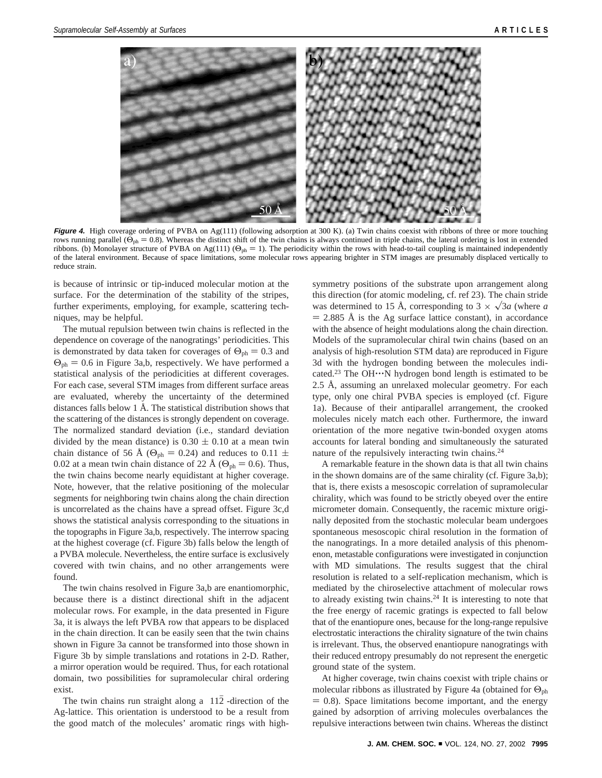

**Figure 4.** High coverage ordering of PVBA on Ag(111) (following adsorption at 300 K). (a) Twin chains coexist with ribbons of three or more touching rows running parallel ( $\Theta_{ph} = 0.8$ ). Whereas the distinct shift of the twin chains is always continued in triple chains, the lateral ordering is lost in extended ribbons. (b) Monolayer structure of PVBA on Ag(111) ( $\Theta_{ph} = 1$ ). The periodicity within the rows with head-to-tail coupling is maintained independently of the lateral environment. Because of space limitations, some molecular rows appearing brighter in STM images are presumably displaced vertically to reduce strain.

is because of intrinsic or tip-induced molecular motion at the surface. For the determination of the stability of the stripes, further experiments, employing, for example, scattering techniques, may be helpful.

The mutual repulsion between twin chains is reflected in the dependence on coverage of the nanogratings' periodicities. This is demonstrated by data taken for coverages of  $\Theta_{ph} = 0.3$  and  $\Theta_{\rm ph} = 0.6$  in Figure 3a,b, respectively. We have performed a statistical analysis of the periodicities at different coverages. For each case, several STM images from different surface areas are evaluated, whereby the uncertainty of the determined distances falls below 1 Å. The statistical distribution shows that the scattering of the distances is strongly dependent on coverage. The normalized standard deviation (i.e., standard deviation divided by the mean distance) is  $0.30 \pm 0.10$  at a mean twin chain distance of 56 Å ( $\Theta_{ph} = 0.24$ ) and reduces to 0.11  $\pm$ 0.02 at a mean twin chain distance of 22 Å ( $\Theta_{ph} = 0.6$ ). Thus, the twin chains become nearly equidistant at higher coverage. Note, however, that the relative positioning of the molecular segments for neighboring twin chains along the chain direction is uncorrelated as the chains have a spread offset. Figure 3c,d shows the statistical analysis corresponding to the situations in the topographs in Figure 3a,b, respectively. The interrow spacing at the highest coverage (cf. Figure 3b) falls below the length of a PVBA molecule. Nevertheless, the entire surface is exclusively covered with twin chains, and no other arrangements were found.

The twin chains resolved in Figure 3a,b are enantiomorphic, because there is a distinct directional shift in the adjacent molecular rows. For example, in the data presented in Figure 3a, it is always the left PVBA row that appears to be displaced in the chain direction. It can be easily seen that the twin chains shown in Figure 3a cannot be transformed into those shown in Figure 3b by simple translations and rotations in 2-D. Rather, a mirror operation would be required. Thus, for each rotational domain, two possibilities for supramolecular chiral ordering exist.

The twin chains run straight along a  $\langle 112 \rangle$ -direction of the Ag-lattice. This orientation is understood to be a result from the good match of the molecules' aromatic rings with high-

symmetry positions of the substrate upon arrangement along this direction (for atomic modeling, cf. ref 23). The chain stride was determined to 15 Å, corresponding to  $3 \times \sqrt{3}a$  (where *a*  $=$  2.885 Å is the Ag surface lattice constant), in accordance with the absence of height modulations along the chain direction. Models of the supramolecular chiral twin chains (based on an analysis of high-resolution STM data) are reproduced in Figure 3d with the hydrogen bonding between the molecules indicated.<sup>23</sup> The OH $\cdot\cdot\cdot$ N hydrogen bond length is estimated to be 2.5 Å, assuming an unrelaxed molecular geometry. For each type, only one chiral PVBA species is employed (cf. Figure 1a). Because of their antiparallel arrangement, the crooked molecules nicely match each other. Furthermore, the inward orientation of the more negative twin-bonded oxygen atoms accounts for lateral bonding and simultaneously the saturated nature of the repulsively interacting twin chains.24

A remarkable feature in the shown data is that all twin chains in the shown domains are of the same chirality (cf. Figure 3a,b); that is, there exists a mesoscopic correlation of supramolecular chirality, which was found to be strictly obeyed over the entire micrometer domain. Consequently, the racemic mixture originally deposited from the stochastic molecular beam undergoes spontaneous mesoscopic chiral resolution in the formation of the nanogratings. In a more detailed analysis of this phenomenon, metastable configurations were investigated in conjunction with MD simulations. The results suggest that the chiral resolution is related to a self-replication mechanism, which is mediated by the chiroselective attachment of molecular rows to already existing twin chains.24 It is interesting to note that the free energy of racemic gratings is expected to fall below that of the enantiopure ones, because for the long-range repulsive electrostatic interactions the chirality signature of the twin chains is irrelevant. Thus, the observed enantiopure nanogratings with their reduced entropy presumably do not represent the energetic ground state of the system.

At higher coverage, twin chains coexist with triple chains or molecular ribbons as illustrated by Figure 4a (obtained for  $\Theta_{ph}$ )  $= 0.8$ ). Space limitations become important, and the energy gained by adsorption of arriving molecules overbalances the repulsive interactions between twin chains. Whereas the distinct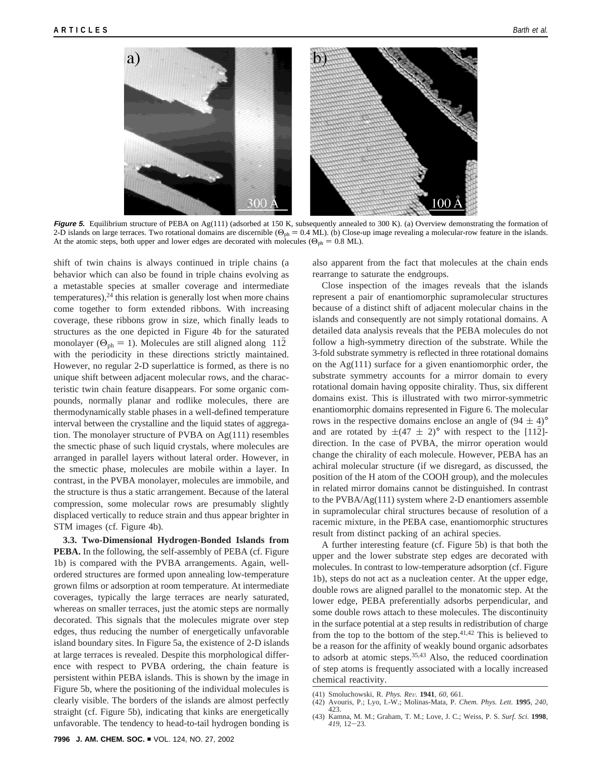

**Figure 5.** Equilibrium structure of PEBA on Ag(111) (adsorbed at 150 K, subsequently annealed to 300 K). (a) Overview demonstrating the formation of 2-D islands on large terraces. Two rotational domains are discernible ( $\Theta_{ph} = 0.4$  ML). (b) Close-up image revealing a molecular-row feature in the islands. At the atomic steps, both upper and lower edges are decorated with molecules ( $\Theta_{ph} = 0.8$  ML).

shift of twin chains is always continued in triple chains (a behavior which can also be found in triple chains evolving as a metastable species at smaller coverage and intermediate  $temperatures$ ), $^{24}$  this relation is generally lost when more chains come together to form extended ribbons. With increasing coverage, these ribbons grow in size, which finally leads to structures as the one depicted in Figure 4b for the saturated monolayer ( $\Theta_{ph} = 1$ ). Molecules are still aligned along  $\langle 112 \rangle$ with the periodicity in these directions strictly maintained. However, no regular 2-D superlattice is formed, as there is no unique shift between adjacent molecular rows, and the characteristic twin chain feature disappears. For some organic compounds, normally planar and rodlike molecules, there are thermodynamically stable phases in a well-defined temperature interval between the crystalline and the liquid states of aggregation. The monolayer structure of PVBA on Ag(111) resembles the smectic phase of such liquid crystals, where molecules are arranged in parallel layers without lateral order. However, in the smectic phase, molecules are mobile within a layer. In contrast, in the PVBA monolayer, molecules are immobile, and the structure is thus a static arrangement. Because of the lateral compression, some molecular rows are presumably slightly displaced vertically to reduce strain and thus appear brighter in STM images (cf. Figure 4b).

**3.3. Two-Dimensional Hydrogen-Bonded Islands from PEBA.** In the following, the self-assembly of PEBA (cf. Figure 1b) is compared with the PVBA arrangements. Again, wellordered structures are formed upon annealing low-temperature grown films or adsorption at room temperature. At intermediate coverages, typically the large terraces are nearly saturated, whereas on smaller terraces, just the atomic steps are normally decorated. This signals that the molecules migrate over step edges, thus reducing the number of energetically unfavorable island boundary sites. In Figure 5a, the existence of 2-D islands at large terraces is revealed. Despite this morphological difference with respect to PVBA ordering, the chain feature is persistent within PEBA islands. This is shown by the image in Figure 5b, where the positioning of the individual molecules is clearly visible. The borders of the islands are almost perfectly straight (cf. Figure 5b), indicating that kinks are energetically unfavorable. The tendency to head-to-tail hydrogen bonding is

also apparent from the fact that molecules at the chain ends rearrange to saturate the endgroups.

Close inspection of the images reveals that the islands represent a pair of enantiomorphic supramolecular structures because of a distinct shift of adjacent molecular chains in the islands and consequently are not simply rotational domains. A detailed data analysis reveals that the PEBA molecules do not follow a high-symmetry direction of the substrate. While the 3-fold substrate symmetry is reflected in three rotational domains on the Ag(111) surface for a given enantiomorphic order, the substrate symmetry accounts for a mirror domain to every rotational domain having opposite chirality. Thus, six different domains exist. This is illustrated with two mirror-symmetric enantiomorphic domains represented in Figure 6. The molecular rows in the respective domains enclose an angle of  $(94 \pm 4)°$ and are rotated by  $\pm (47 \pm 2)$ ° with respect to the [112]direction. In the case of PVBA, the mirror operation would change the chirality of each molecule. However, PEBA has an achiral molecular structure (if we disregard, as discussed, the position of the H atom of the COOH group), and the molecules in related mirror domains cannot be distinguished. In contrast to the PVBA/Ag(111) system where 2-D enantiomers assemble in supramolecular chiral structures because of resolution of a racemic mixture, in the PEBA case, enantiomorphic structures result from distinct packing of an achiral species.

A further interesting feature (cf. Figure 5b) is that both the upper and the lower substrate step edges are decorated with molecules. In contrast to low-temperature adsorption (cf. Figure 1b), steps do not act as a nucleation center. At the upper edge, double rows are aligned parallel to the monatomic step. At the lower edge, PEBA preferentially adsorbs perpendicular, and some double rows attach to these molecules. The discontinuity in the surface potential at a step results in redistribution of charge from the top to the bottom of the step. $41,42$  This is believed to be a reason for the affinity of weakly bound organic adsorbates to adsorb at atomic steps.35,43 Also, the reduced coordination of step atoms is frequently associated with a locally increased chemical reactivity.

<sup>(41)</sup> Smoluchowski, R. *Phys. Re*V*.* **<sup>1941</sup>**, *<sup>60</sup>*, 661. (42) Avouris, P.; Lyo, I.-W.; Molinas-Mata, P. *Chem. Phys. Lett.* **<sup>1995</sup>**, *<sup>240</sup>*, 423.

<sup>(43)</sup> Kamna, M. M.; Graham, T. M.; Love, J. C.; Weiss, P. S. *Surf. Sci.* **1998**, *<sup>419</sup>*, 12-23.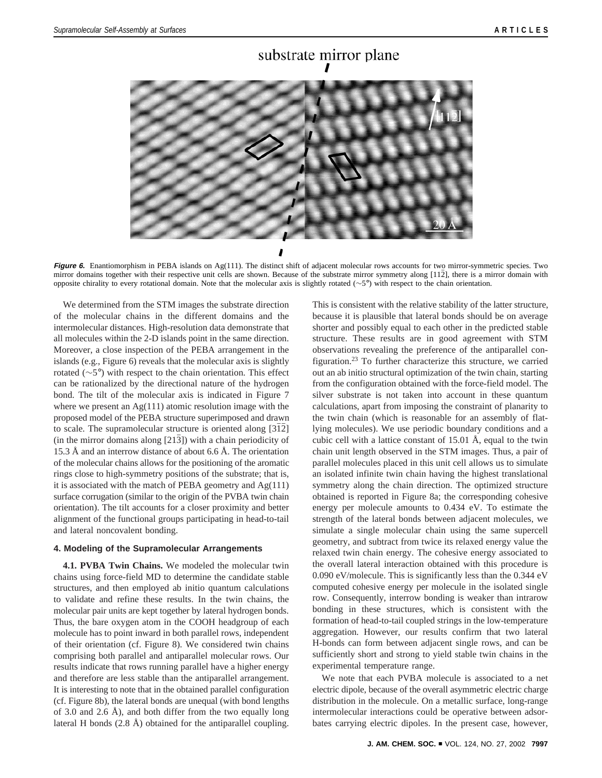# substrate mirror plane

**Figure 6.** Enantiomorphism in PEBA islands on Ag(111). The distinct shift of adjacent molecular rows accounts for two mirror-symmetric species. Two mirror domains together with their respective unit cells are shown. Because of the substrate mirror symmetry along [112], there is a mirror domain with opposite chirality to every rotational domain. Note that the molecular axis is slightly rotated (∼5°) with respect to the chain orientation.

We determined from the STM images the substrate direction of the molecular chains in the different domains and the intermolecular distances. High-resolution data demonstrate that all molecules within the 2-D islands point in the same direction. Moreover, a close inspection of the PEBA arrangement in the islands (e.g., Figure 6) reveals that the molecular axis is slightly rotated (∼5°) with respect to the chain orientation. This effect can be rationalized by the directional nature of the hydrogen bond. The tilt of the molecular axis is indicated in Figure 7 where we present an  $Ag(111)$  atomic resolution image with the proposed model of the PEBA structure superimposed and drawn to scale. The supramolecular structure is oriented along  $[3\overline{1}\overline{2}]$  $(in the mirror domains along [213])$  with a chain periodicity of 15.3 Å and an interrow distance of about 6.6 Å. The orientation of the molecular chains allows for the positioning of the aromatic rings close to high-symmetry positions of the substrate; that is, it is associated with the match of PEBA geometry and Ag(111) surface corrugation (similar to the origin of the PVBA twin chain orientation). The tilt accounts for a closer proximity and better alignment of the functional groups participating in head-to-tail and lateral noncovalent bonding.

### **4. Modeling of the Supramolecular Arrangements**

**4.1. PVBA Twin Chains.** We modeled the molecular twin chains using force-field MD to determine the candidate stable structures, and then employed ab initio quantum calculations to validate and refine these results. In the twin chains, the molecular pair units are kept together by lateral hydrogen bonds. Thus, the bare oxygen atom in the COOH headgroup of each molecule has to point inward in both parallel rows, independent of their orientation (cf. Figure 8). We considered twin chains comprising both parallel and antiparallel molecular rows. Our results indicate that rows running parallel have a higher energy and therefore are less stable than the antiparallel arrangement. It is interesting to note that in the obtained parallel configuration (cf. Figure 8b), the lateral bonds are unequal (with bond lengths of 3.0 and 2.6 Å), and both differ from the two equally long lateral H bonds (2.8 Å) obtained for the antiparallel coupling.

This is consistent with the relative stability of the latter structure, because it is plausible that lateral bonds should be on average shorter and possibly equal to each other in the predicted stable structure. These results are in good agreement with STM observations revealing the preference of the antiparallel configuration.23 To further characterize this structure, we carried out an ab initio structural optimization of the twin chain, starting from the configuration obtained with the force-field model. The silver substrate is not taken into account in these quantum calculations, apart from imposing the constraint of planarity to the twin chain (which is reasonable for an assembly of flatlying molecules). We use periodic boundary conditions and a cubic cell with a lattice constant of 15.01 Å, equal to the twin chain unit length observed in the STM images. Thus, a pair of parallel molecules placed in this unit cell allows us to simulate an isolated infinite twin chain having the highest translational symmetry along the chain direction. The optimized structure obtained is reported in Figure 8a; the corresponding cohesive energy per molecule amounts to 0.434 eV. To estimate the strength of the lateral bonds between adjacent molecules, we simulate a single molecular chain using the same supercell geometry, and subtract from twice its relaxed energy value the relaxed twin chain energy. The cohesive energy associated to the overall lateral interaction obtained with this procedure is 0.090 eV/molecule. This is significantly less than the 0.344 eV computed cohesive energy per molecule in the isolated single row. Consequently, interrow bonding is weaker than intrarow bonding in these structures, which is consistent with the formation of head-to-tail coupled strings in the low-temperature aggregation. However, our results confirm that two lateral H-bonds can form between adjacent single rows, and can be sufficiently short and strong to yield stable twin chains in the experimental temperature range.

We note that each PVBA molecule is associated to a net electric dipole, because of the overall asymmetric electric charge distribution in the molecule. On a metallic surface, long-range intermolecular interactions could be operative between adsorbates carrying electric dipoles. In the present case, however,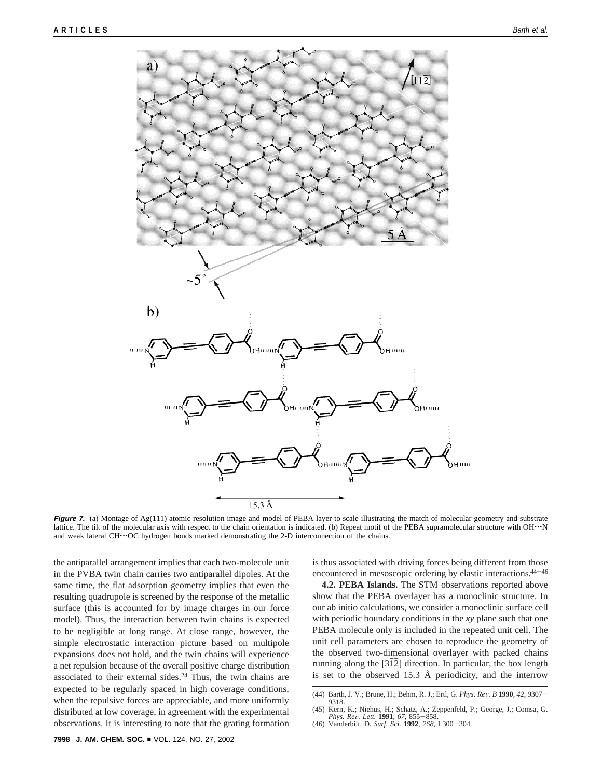

**Figure 7.** (a) Montage of Ag(111) atomic resolution image and model of PEBA layer to scale illustrating the match of molecular geometry and substrate lattice. The tilt of the molecular axis with respect to the chain orientation is indicated. (b) Repeat motif of the PEBA supramolecular structure with OH $\cdot \cdot \cdot$ N and weak lateral CH $\cdot\cdot$ OC hydrogen bonds marked demonstrating the 2-D interconnection of the chains.

the antiparallel arrangement implies that each two-molecule unit in the PVBA twin chain carries two antiparallel dipoles. At the same time, the flat adsorption geometry implies that even the resulting quadrupole is screened by the response of the metallic surface (this is accounted for by image charges in our force model). Thus, the interaction between twin chains is expected to be negligible at long range. At close range, however, the simple electrostatic interaction picture based on multipole expansions does not hold, and the twin chains will experience a net repulsion because of the overall positive charge distribution associated to their external sides.<sup>24</sup> Thus, the twin chains are expected to be regularly spaced in high coverage conditions, when the repulsive forces are appreciable, and more uniformly distributed at low coverage, in agreement with the experimental observations. It is interesting to note that the grating formation is thus associated with driving forces being different from those encountered in mesoscopic ordering by elastic interactions.<sup>44-46</sup>

**4.2. PEBA Islands.** The STM observations reported above show that the PEBA overlayer has a monoclinic structure. In our ab initio calculations, we consider a monoclinic surface cell with periodic boundary conditions in the *xy* plane such that one PEBA molecule only is included in the repeated unit cell. The unit cell parameters are chosen to reproduce the geometry of the observed two-dimensional overlayer with packed chains running along the  $[3\overline{1}2]$  direction. In particular, the box length is set to the observed 15.3 Å periodicity, and the interrow

<sup>(44)</sup> Barth, J. V.; Brune, H.; Behm, R. J.; Ertl, G. *Phys. Re*V*. B* **<sup>1990</sup>**, *<sup>42</sup>*, 9307- 9318.

<sup>(45)</sup> Kern, K.; Niehus, H.; Schatz, A.; Zeppenfeld, P.; George, J.; Comsa, G. *Phys. Re*V*. Lett.* **<sup>1991</sup>**, *<sup>67</sup>*, 855-858. (46) Vanderbilt, D. *Surf. Sci.* **<sup>1992</sup>**, *<sup>268</sup>*, L300-304.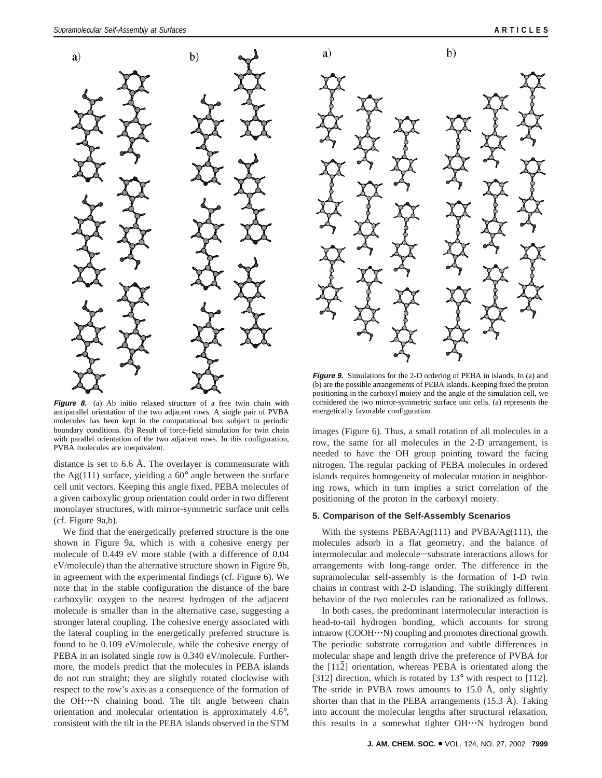

**Figure 8.** (a) Ab initio relaxed structure of a free twin chain with antiparallel orientation of the two adjacent rows. A single pair of PVBA molecules has been kept in the computational box subject to periodic boundary conditions. (b) Result of force-field simulation for twin chain with parallel orientation of the two adjacent rows. In this configuration, PVBA molecules are inequivalent.

distance is set to 6.6 Å. The overlayer is commensurate with the Ag(111) surface, yielding a 60° angle between the surface cell unit vectors. Keeping this angle fixed, PEBA molecules of a given carboxylic group orientation could order in two different monolayer structures, with mirror-symmetric surface unit cells (cf. Figure 9a,b).

We find that the energetically preferred structure is the one shown in Figure 9a, which is with a cohesive energy per molecule of 0.449 eV more stable (with a difference of 0.04 eV/molecule) than the alternative structure shown in Figure 9b, in agreement with the experimental findings (cf. Figure 6). We note that in the stable configuration the distance of the bare carboxylic oxygen to the nearest hydrogen of the adjacent molecule is smaller than in the alternative case, suggesting a stronger lateral coupling. The cohesive energy associated with the lateral coupling in the energetically preferred structure is found to be 0.109 eV/molecule, while the cohesive energy of PEBA in an isolated single row is 0.340 eV/molecule. Furthermore, the models predict that the molecules in PEBA islands do not run straight; they are slightly rotated clockwise with respect to the row's axis as a consequence of the formation of the OH'''N chaining bond. The tilt angle between chain orientation and molecular orientation is approximately 4.6°, consistent with the tilt in the PEBA islands observed in the STM



**Figure 9.** Simulations for the 2-D ordering of PEBA in islands. In (a) and (b) are the possible arrangements of PEBA islands. Keeping fixed the proton positioning in the carboxyl moiety and the angle of the simulation cell, we considered the two mirror-symmetric surface unit cells. (a) represents the energetically favorable configuration.

images (Figure 6). Thus, a small rotation of all molecules in a row, the same for all molecules in the 2-D arrangement, is needed to have the OH group pointing toward the facing nitrogen. The regular packing of PEBA molecules in ordered islands requires homogeneity of molecular rotation in neighboring rows, which in turn implies a strict correlation of the positioning of the proton in the carboxyl moiety.

## **5. Comparison of the Self-Assembly Scenarios**

With the systems  $PEBA/Ag(111)$  and  $PVBA/Ag(111)$ , the molecules adsorb in a flat geometry, and the balance of intermolecular and molecule-substrate interactions allows for arrangements with long-range order. The difference in the supramolecular self-assembly is the formation of 1-D twin chains in contrast with 2-D islanding. The strikingly different behavior of the two molecules can be rationalized as follows.

In both cases, the predominant intermolecular interaction is head-to-tail hydrogen bonding, which accounts for strong intrarow (COOH···N) coupling and promotes directional growth. The periodic substrate corrugation and subtle differences in molecular shape and length drive the preference of PVBA for the  $[112]$  orientation, whereas PEBA is orientated along the [312] direction, which is rotated by  $13^{\circ}$  with respect to [112]. The stride in PVBA rows amounts to 15.0 Å, only slightly shorter than that in the PEBA arrangements  $(15.3 \text{ Å})$ . Taking into account the molecular lengths after structural relaxation, this results in a somewhat tighter OH'''N hydrogen bond